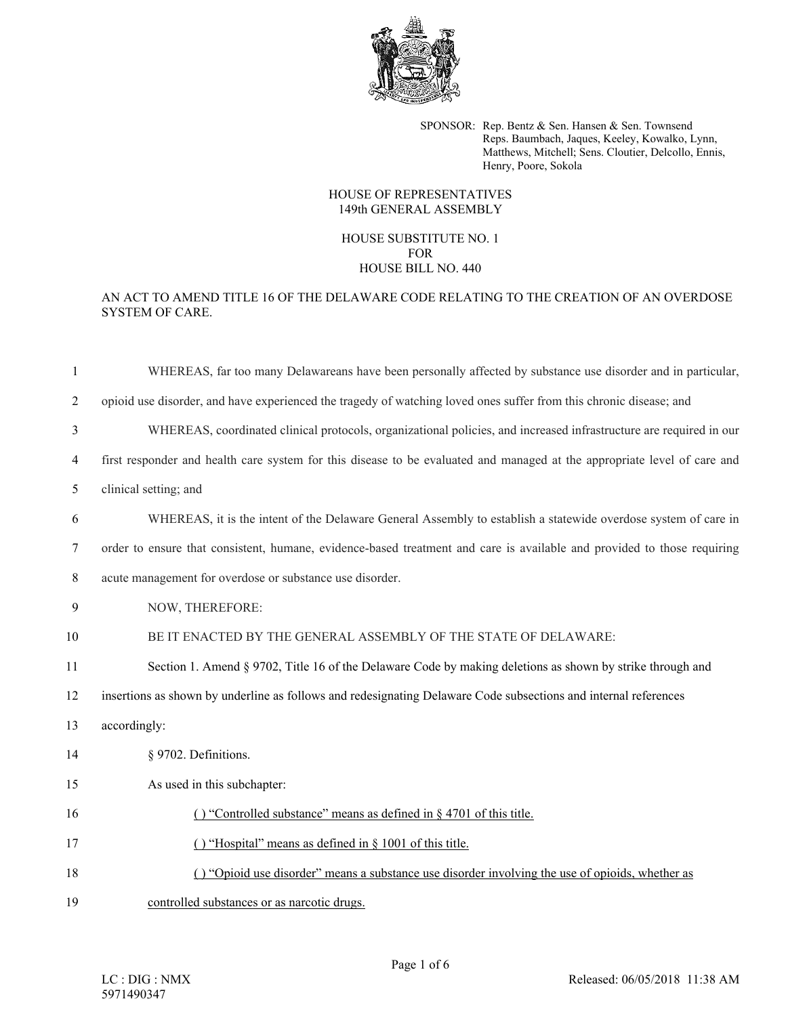

SPONSOR: Rep. Bentz & Sen. Hansen & Sen. Townsend Reps. Baumbach, Jaques, Keeley, Kowalko, Lynn, Matthews, Mitchell; Sens. Cloutier, Delcollo, Ennis, Henry, Poore, Sokola

## HOUSE OF REPRESENTATIVES 149th GENERAL ASSEMBLY

## HOUSE SUBSTITUTE NO. 1 FOR HOUSE BILL NO. 440

## AN ACT TO AMEND TITLE 16 OF THE DELAWARE CODE RELATING TO THE CREATION OF AN OVERDOSE SYSTEM OF CARE.

| $\mathbf{1}$   | WHEREAS, far too many Delawareans have been personally affected by substance use disorder and in particular,             |
|----------------|--------------------------------------------------------------------------------------------------------------------------|
| $\overline{2}$ | opioid use disorder, and have experienced the tragedy of watching loved ones suffer from this chronic disease; and       |
| 3              | WHEREAS, coordinated clinical protocols, organizational policies, and increased infrastructure are required in our       |
| $\overline{4}$ | first responder and health care system for this disease to be evaluated and managed at the appropriate level of care and |
| 5              | clinical setting; and                                                                                                    |
| 6              | WHEREAS, it is the intent of the Delaware General Assembly to establish a statewide overdose system of care in           |
| 7              | order to ensure that consistent, humane, evidence-based treatment and care is available and provided to those requiring  |
| 8              | acute management for overdose or substance use disorder.                                                                 |
| 9              | NOW, THEREFORE:                                                                                                          |
| 10             | BE IT ENACTED BY THE GENERAL ASSEMBLY OF THE STATE OF DELAWARE:                                                          |
| 11             | Section 1. Amend § 9702, Title 16 of the Delaware Code by making deletions as shown by strike through and                |
| 12             | insertions as shown by underline as follows and redesignating Delaware Code subsections and internal references          |
| 13             | accordingly:                                                                                                             |
| 14             | § 9702. Definitions.                                                                                                     |
| 15             | As used in this subchapter:                                                                                              |
| 16             | () "Controlled substance" means as defined in $\S$ 4701 of this title.                                                   |
| 17             | () "Hospital" means as defined in § 1001 of this title.                                                                  |
| 18             | () "Opioid use disorder" means a substance use disorder involving the use of opioids, whether as                         |
| 19             | controlled substances or as narcotic drugs.                                                                              |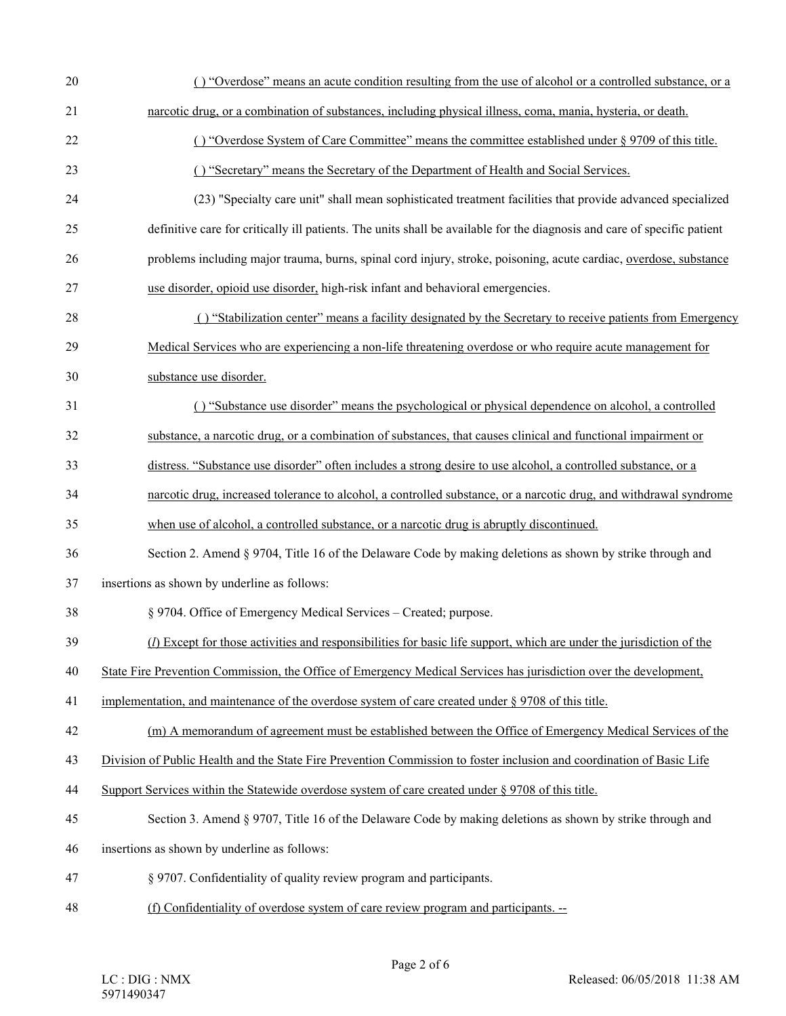| 20 | () "Overdose" means an acute condition resulting from the use of alcohol or a controlled substance, or a                 |
|----|--------------------------------------------------------------------------------------------------------------------------|
| 21 | narcotic drug, or a combination of substances, including physical illness, coma, mania, hysteria, or death.              |
| 22 | () "Overdose System of Care Committee" means the committee established under § 9709 of this title.                       |
| 23 | () "Secretary" means the Secretary of the Department of Health and Social Services.                                      |
| 24 | (23) "Specialty care unit" shall mean sophisticated treatment facilities that provide advanced specialized               |
| 25 | definitive care for critically ill patients. The units shall be available for the diagnosis and care of specific patient |
| 26 | problems including major trauma, burns, spinal cord injury, stroke, poisoning, acute cardiac, overdose, substance        |
| 27 | use disorder, opioid use disorder, high-risk infant and behavioral emergencies.                                          |
| 28 | () "Stabilization center" means a facility designated by the Secretary to receive patients from Emergency                |
| 29 | Medical Services who are experiencing a non-life threatening overdose or who require acute management for                |
| 30 | substance use disorder.                                                                                                  |
| 31 | () "Substance use disorder" means the psychological or physical dependence on alcohol, a controlled                      |
| 32 | substance, a narcotic drug, or a combination of substances, that causes clinical and functional impairment or            |
| 33 | distress. "Substance use disorder" often includes a strong desire to use alcohol, a controlled substance, or a           |
| 34 | narcotic drug, increased tolerance to alcohol, a controlled substance, or a narcotic drug, and withdrawal syndrome       |
| 35 | when use of alcohol, a controlled substance, or a narcotic drug is abruptly discontinued.                                |
| 36 | Section 2. Amend § 9704, Title 16 of the Delaware Code by making deletions as shown by strike through and                |
| 37 | insertions as shown by underline as follows:                                                                             |
| 38 | § 9704. Office of Emergency Medical Services – Created; purpose.                                                         |
| 39 | $(I)$ Except for those activities and responsibilities for basic life support, which are under the jurisdiction of the   |
| 40 | State Fire Prevention Commission, the Office of Emergency Medical Services has jurisdiction over the development,        |
| 41 | implementation, and maintenance of the overdose system of care created under $\S 9708$ of this title.                    |
| 42 | (m) A memorandum of agreement must be established between the Office of Emergency Medical Services of the                |
| 43 | Division of Public Health and the State Fire Prevention Commission to foster inclusion and coordination of Basic Life    |
| 44 | Support Services within the Statewide overdose system of care created under $\S 9708$ of this title.                     |
| 45 | Section 3. Amend § 9707, Title 16 of the Delaware Code by making deletions as shown by strike through and                |
| 46 | insertions as shown by underline as follows:                                                                             |
| 47 | § 9707. Confidentiality of quality review program and participants.                                                      |
| 48 | (f) Confidentiality of overdose system of care review program and participants. --                                       |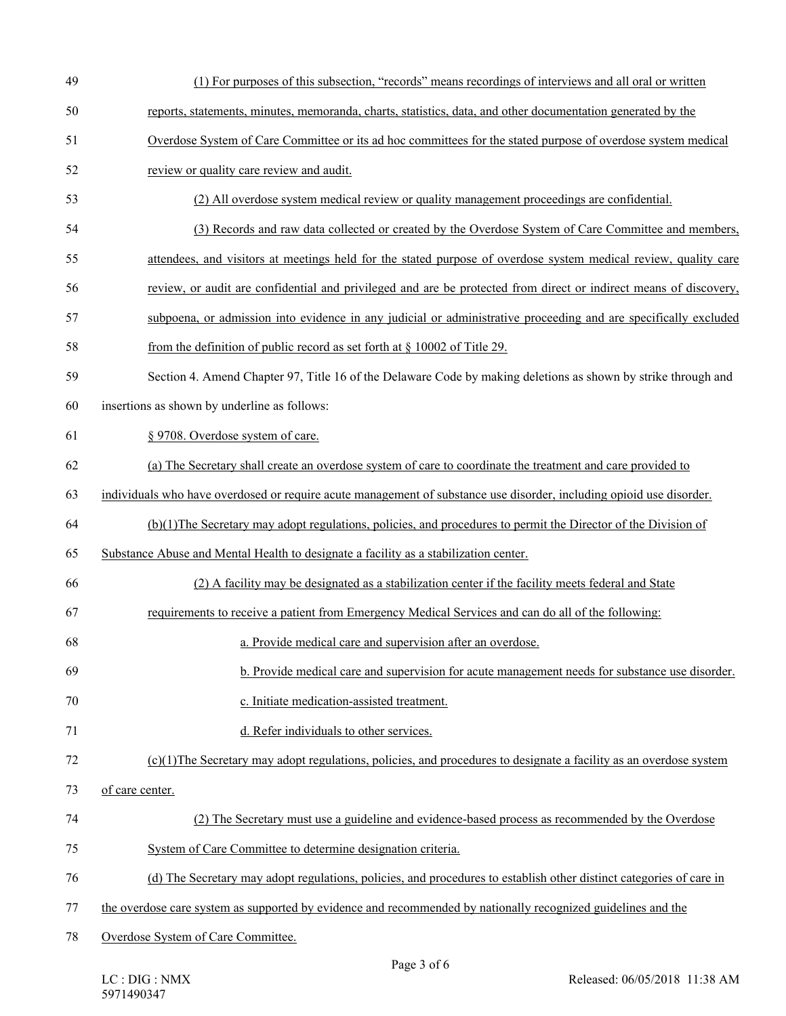| 49 | (1) For purposes of this subsection, "records" means recordings of interviews and all oral or written                |
|----|----------------------------------------------------------------------------------------------------------------------|
| 50 | reports, statements, minutes, memoranda, charts, statistics, data, and other documentation generated by the          |
| 51 | Overdose System of Care Committee or its ad hoc committees for the stated purpose of overdose system medical         |
| 52 | review or quality care review and audit.                                                                             |
| 53 | (2) All overdose system medical review or quality management proceedings are confidential.                           |
| 54 | (3) Records and raw data collected or created by the Overdose System of Care Committee and members,                  |
| 55 | attendees, and visitors at meetings held for the stated purpose of overdose system medical review, quality care      |
| 56 | review, or audit are confidential and privileged and are be protected from direct or indirect means of discovery,    |
| 57 | subpoena, or admission into evidence in any judicial or administrative proceeding and are specifically excluded      |
| 58 | from the definition of public record as set forth at $\S$ 10002 of Title 29.                                         |
| 59 | Section 4. Amend Chapter 97, Title 16 of the Delaware Code by making deletions as shown by strike through and        |
| 60 | insertions as shown by underline as follows:                                                                         |
| 61 | § 9708. Overdose system of care.                                                                                     |
| 62 | (a) The Secretary shall create an overdose system of care to coordinate the treatment and care provided to           |
| 63 | individuals who have overdosed or require acute management of substance use disorder, including opioid use disorder. |
| 64 | (b)(1) The Secretary may adopt regulations, policies, and procedures to permit the Director of the Division of       |
| 65 | Substance Abuse and Mental Health to designate a facility as a stabilization center.                                 |
| 66 | (2) A facility may be designated as a stabilization center if the facility meets federal and State                   |
| 67 | requirements to receive a patient from Emergency Medical Services and can do all of the following:                   |
| 68 | a. Provide medical care and supervision after an overdose.                                                           |
| 69 | b. Provide medical care and supervision for acute management needs for substance use disorder.                       |
| 70 | c. Initiate medication-assisted treatment.                                                                           |
| 71 | d. Refer individuals to other services.                                                                              |
| 72 | $(c)(1)$ The Secretary may adopt regulations, policies, and procedures to designate a facility as an overdose system |
| 73 | of care center.                                                                                                      |
| 74 | (2) The Secretary must use a guideline and evidence-based process as recommended by the Overdose                     |
| 75 | System of Care Committee to determine designation criteria.                                                          |
| 76 | (d) The Secretary may adopt regulations, policies, and procedures to establish other distinct categories of care in  |
| 77 | the overdose care system as supported by evidence and recommended by nationally recognized guidelines and the        |
| 78 | Overdose System of Care Committee.                                                                                   |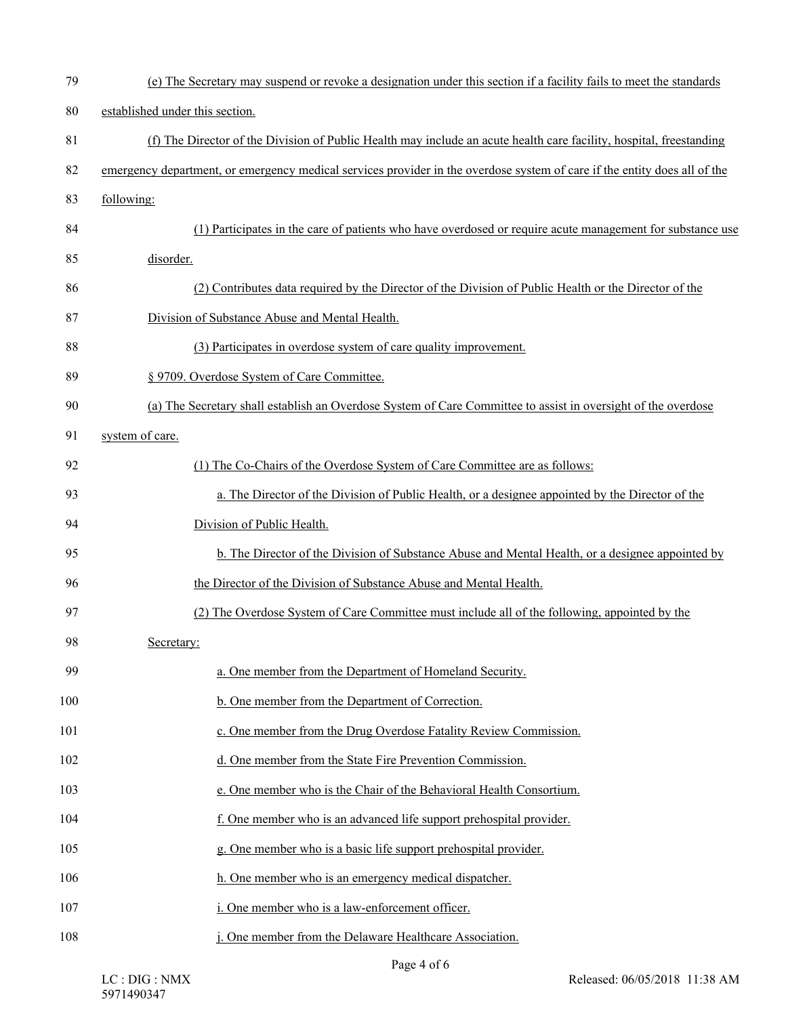| 79  | (e) The Secretary may suspend or revoke a designation under this section if a facility fails to meet the standards        |
|-----|---------------------------------------------------------------------------------------------------------------------------|
| 80  | established under this section.                                                                                           |
| 81  | (f) The Director of the Division of Public Health may include an acute health care facility, hospital, freestanding       |
| 82  | emergency department, or emergency medical services provider in the overdose system of care if the entity does all of the |
| 83  | following:                                                                                                                |
| 84  | (1) Participates in the care of patients who have overdosed or require acute management for substance use                 |
| 85  | disorder.                                                                                                                 |
| 86  | (2) Contributes data required by the Director of the Division of Public Health or the Director of the                     |
| 87  | Division of Substance Abuse and Mental Health.                                                                            |
| 88  | (3) Participates in overdose system of care quality improvement.                                                          |
| 89  | § 9709. Overdose System of Care Committee.                                                                                |
| 90  | (a) The Secretary shall establish an Overdose System of Care Committee to assist in oversight of the overdose             |
| 91  | system of care.                                                                                                           |
| 92  | (1) The Co-Chairs of the Overdose System of Care Committee are as follows:                                                |
| 93  | a. The Director of the Division of Public Health, or a designee appointed by the Director of the                          |
| 94  | Division of Public Health.                                                                                                |
| 95  | b. The Director of the Division of Substance Abuse and Mental Health, or a designee appointed by                          |
| 96  | the Director of the Division of Substance Abuse and Mental Health.                                                        |
| 97  | (2) The Overdose System of Care Committee must include all of the following, appointed by the                             |
| 98  | Secretary:                                                                                                                |
| 99  | a. One member from the Department of Homeland Security.                                                                   |
| 100 | b. One member from the Department of Correction.                                                                          |
| 101 | c. One member from the Drug Overdose Fatality Review Commission.                                                          |
| 102 | d. One member from the State Fire Prevention Commission.                                                                  |
| 103 | e. One member who is the Chair of the Behavioral Health Consortium.                                                       |
| 104 | f. One member who is an advanced life support prehospital provider.                                                       |
| 105 | g. One member who is a basic life support prehospital provider.                                                           |
| 106 | h. One member who is an emergency medical dispatcher.                                                                     |
| 107 | i. One member who is a law-enforcement officer.                                                                           |
| 108 | j. One member from the Delaware Healthcare Association.                                                                   |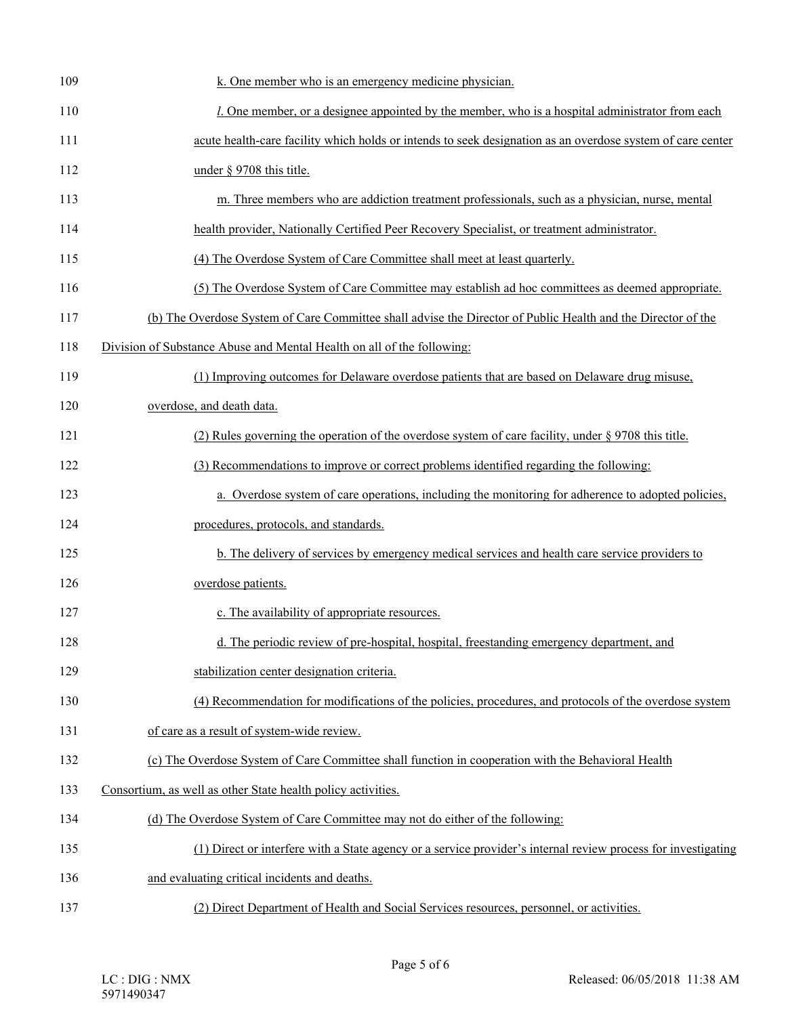| 109 | k. One member who is an emergency medicine physician.                                                         |
|-----|---------------------------------------------------------------------------------------------------------------|
| 110 | <i>l</i> . One member, or a designee appointed by the member, who is a hospital administrator from each       |
| 111 | acute health-care facility which holds or intends to seek designation as an overdose system of care center    |
| 112 | under § 9708 this title.                                                                                      |
| 113 | m. Three members who are addiction treatment professionals, such as a physician, nurse, mental                |
| 114 | health provider, Nationally Certified Peer Recovery Specialist, or treatment administrator.                   |
| 115 | (4) The Overdose System of Care Committee shall meet at least quarterly.                                      |
| 116 | (5) The Overdose System of Care Committee may establish ad hoc committees as deemed appropriate.              |
| 117 | (b) The Overdose System of Care Committee shall advise the Director of Public Health and the Director of the  |
| 118 | Division of Substance Abuse and Mental Health on all of the following:                                        |
| 119 | (1) Improving outcomes for Delaware overdose patients that are based on Delaware drug misuse,                 |
| 120 | overdose, and death data.                                                                                     |
| 121 | (2) Rules governing the operation of the overdose system of care facility, under $\S$ 9708 this title.        |
| 122 | (3) Recommendations to improve or correct problems identified regarding the following:                        |
| 123 | a. Overdose system of care operations, including the monitoring for adherence to adopted policies,            |
| 124 | procedures, protocols, and standards.                                                                         |
| 125 | b. The delivery of services by emergency medical services and health care service providers to                |
| 126 | overdose patients.                                                                                            |
| 127 | c. The availability of appropriate resources.                                                                 |
| 128 | d. The periodic review of pre-hospital, hospital, freestanding emergency department, and                      |
| 129 | stabilization center designation criteria.                                                                    |
| 130 | (4) Recommendation for modifications of the policies, procedures, and protocols of the overdose system        |
| 131 | of care as a result of system-wide review.                                                                    |
| 132 | (c) The Overdose System of Care Committee shall function in cooperation with the Behavioral Health            |
| 133 | Consortium, as well as other State health policy activities.                                                  |
| 134 | (d) The Overdose System of Care Committee may not do either of the following:                                 |
| 135 | (1) Direct or interfere with a State agency or a service provider's internal review process for investigating |
| 136 | and evaluating critical incidents and deaths.                                                                 |
| 137 | (2) Direct Department of Health and Social Services resources, personnel, or activities.                      |